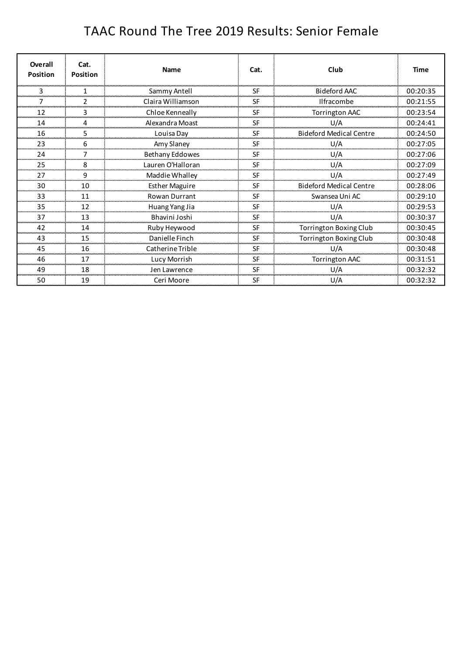## TAAC Round The Tree 2019 Results: Senior Female

| Overall<br><b>Position</b> | Cat.<br><b>Position</b> | <b>Name</b>            | Cat.      | Club                           | <b>Time</b> |
|----------------------------|-------------------------|------------------------|-----------|--------------------------------|-------------|
| 3                          | 1                       | Sammy Antell           | SF        | Bideford AAC                   | 00:20:35    |
| -----                      | 2                       | Claira Williamson      | SF        | <b>Ilfracombe</b>              | 00:21:55    |
| 12<br><b>Andrews</b>       | 3                       | Chloe Kenneally        | <b>SF</b> | Torrington AAC                 | 00:23:54    |
| 14                         | 4                       | Alexandra Moast        | <b>SF</b> | U/A                            | 00:24:41    |
| 16                         | 5                       | Louisa Day             | SF        | <b>Bideford Medical Centre</b> | 00:24:50    |
| 23                         | 6<br>-----              | Amy Slaney             | <b>SF</b> | U/A                            | 00:27:05    |
| 24                         | $\overline{7}$          | <b>Bethany Eddowes</b> | <b>SF</b> | U/A                            | 00:27:06    |
| 25                         | 8                       | Lauren O'Halloran      | <b>SF</b> | U/A                            | 00:27:09    |
| 27<br>محمد                 | 9                       | Maddie Whalley         | <b>SF</b> | U/A                            | 00:27:49    |
| 30                         | 10                      | Esther Maguire         | <b>SF</b> | <b>Bideford Medical Centre</b> | 00:28:06    |
| 33                         | 11                      | <b>Rowan Durrant</b>   | SF        | Swansea Uni AC                 | 00:29:10    |
| 35                         | 12                      | Huang Yang Jia         | SF        | U/A                            | 00:29:53    |
| 37                         | 13                      | Bhavini Joshi          | <b>SF</b> | U/A                            | 00:30:37    |
| 42                         | 14                      | Ruby Heywood           | SF        | <b>Torrington Boxing Club</b>  | 00:30:45    |
| 43                         | 15                      | Danielle Finch         | SF        | Torrington Boxing Club         | 00:30:48    |
| 45                         | 16                      | Catherine Trible       | <b>SF</b> | U/A                            | 00:30:48    |
| 46                         | 17                      | Lucy Morrish           | <b>SF</b> | <b>Torrington AAC</b>          | 00:31:51    |
| 49                         | 18                      | Jen Lawrence           | SF        | U/A                            | 00:32:32    |
| 50                         | 19                      | Ceri Moore             | <b>SF</b> | U/A                            | 00:32:32    |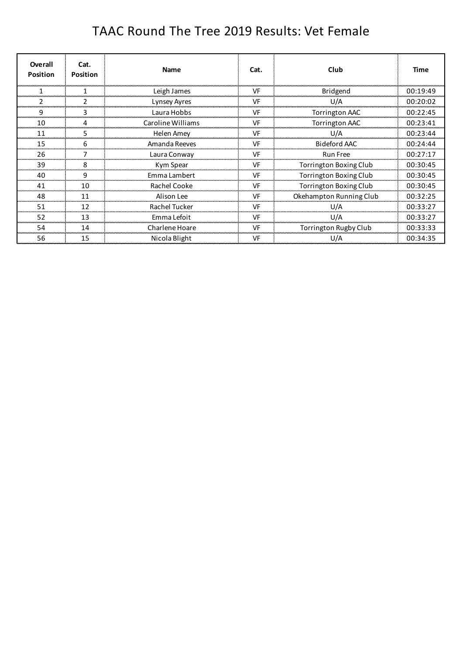## TAAC Round The Tree 2019 Results: Vet Female

| Overall<br><b>Position</b> | Cat.<br><b>Position</b> | <b>Name</b>       | Cat. | Club                          | Time     |
|----------------------------|-------------------------|-------------------|------|-------------------------------|----------|
|                            |                         | Leigh James       | VF   | <b>Bridgend</b>               | 00:19:49 |
|                            |                         | Lynsey Ayres      | VF   | U/A                           | 00:20:02 |
|                            |                         | Laura Hobbs       | VF   | Torrington AAC                | 00:22:45 |
| 10                         |                         | Caroline Williams | VF   | <b>Torrington AAC</b>         | 00:23:41 |
| 11                         | כ                       | Helen Amey        | VF   | U/A                           | 00:23:44 |
| 15                         | 6                       | Amanda Reeves     | VF   | <b>Bideford AAC</b>           | 00:24:44 |
| 26                         |                         | Laura Conway      | VF   | <b>Run Free</b>               | 00:27:17 |
| 39                         | 8                       | Kym Spear         | VF   | Torrington Boxing Club        | 00:30:45 |
| 40                         | 9                       | Emma Lambert      | VF   | <b>Torrington Boxing Club</b> | 00:30:45 |
| 41                         | 10                      | Rachel Cooke      | VF   | <b>Torrington Boxing Club</b> | 00:30:45 |
| 48                         | 11                      | Alison Lee        | VF   | Okehampton Running Club       | 00:32:25 |
| 51                         | 12                      | Rachel Tucker     | VF   | U/A                           | 00:33:27 |
| 52                         | 13                      | Emma Lefoit       | VF   | U/A                           | 00:33:27 |
| 54                         | 14                      | Charlene Hoare    | VF   | Torrington Rugby Club         | 00:33:33 |
| 56                         | 15                      | Nicola Blight     | VF   | U/A                           | 00:34:35 |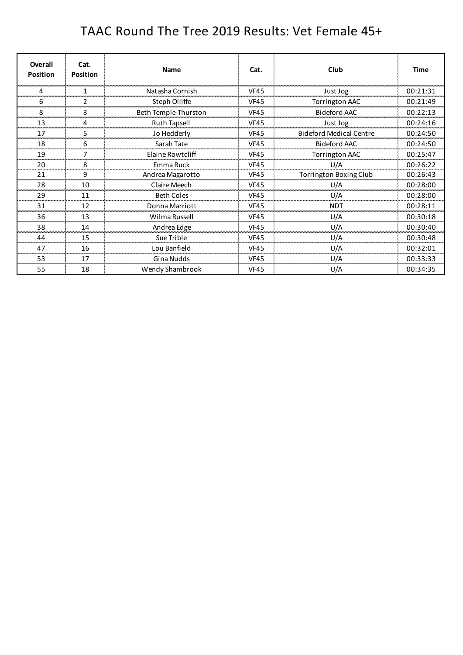## TAAC Round The Tree 2019 Results: Vet Female 45+

| Overall<br><b>Position</b> | Cat.<br>Position | <b>Name</b>          | Cat.        | Club                           | <b>Time</b> |
|----------------------------|------------------|----------------------|-------------|--------------------------------|-------------|
|                            |                  | Natasha Cornish      | <b>VF45</b> | Just Jog                       | 00:21:31    |
| 6                          | 2                | Steph Olliffe        | <b>VF45</b> | <b>Torrington AAC</b>          | 00:21:49    |
| 8                          | 3                | Beth Temple-Thurston | <b>VF45</b> | Bideford AAC                   | 00:22:13    |
| 13                         |                  | <b>Ruth Tapsell</b>  | <b>VF45</b> | Just Jog                       | 00:24:16    |
| 17                         | 5<br>an an a     | Jo Hedderly          | <b>VF45</b> | <b>Bideford Medical Centre</b> | 00:24:50    |
| 18                         | 6                | Sarah Tate           | <b>VF45</b> | <b>Bideford AAC</b>            | 00:24:50    |
| 19                         | 7                | Elaine Rowtcliff     | <b>VF45</b> | <b>Torrington AAC</b>          | 00:25:47    |
| 20                         | 8                | Emma Ruck            | <b>VF45</b> | U/A                            | 00:26:22    |
| 21                         | 9                | Andrea Magarotto     | <b>VF45</b> | <b>Torrington Boxing Club</b>  | 00:26:43    |
| 28                         | 10               | Claire Meech         | <b>VF45</b> | U/A                            | 00:28:00    |
| 29                         | 11               | <b>Beth Coles</b>    | <b>VF45</b> | U/A                            | 00:28:00    |
| 31                         | 12               | Donna Marriott       | <b>VF45</b> | <b>NDT</b>                     | 00:28:11    |
| 36                         | 13               | Wilma Russell        | <b>VF45</b> | U/A                            | 00:30:18    |
| 38                         | 14               | Andrea Edge          | <b>VF45</b> | U/A                            | 00:30:40    |
| 44                         | 15               | Sue Trible           | <b>VF45</b> | U/A                            | 00:30:48    |
| 47<br>ومحمده               | 16               | Lou Banfield         | <b>VF45</b> | U/A                            | 00:32:01    |
| 53                         | 17               | Gina Nudds           | <b>VF45</b> | U/A                            | 00:33:33    |
| 55                         | 18               | Wendy Shambrook      | <b>VF45</b> | U/A                            | 00:34:35    |